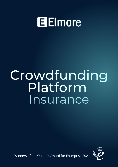# **Elmore**

# Crowdfunding Platform Insurance



Winners of the Queen's Award for Enterprise 2021